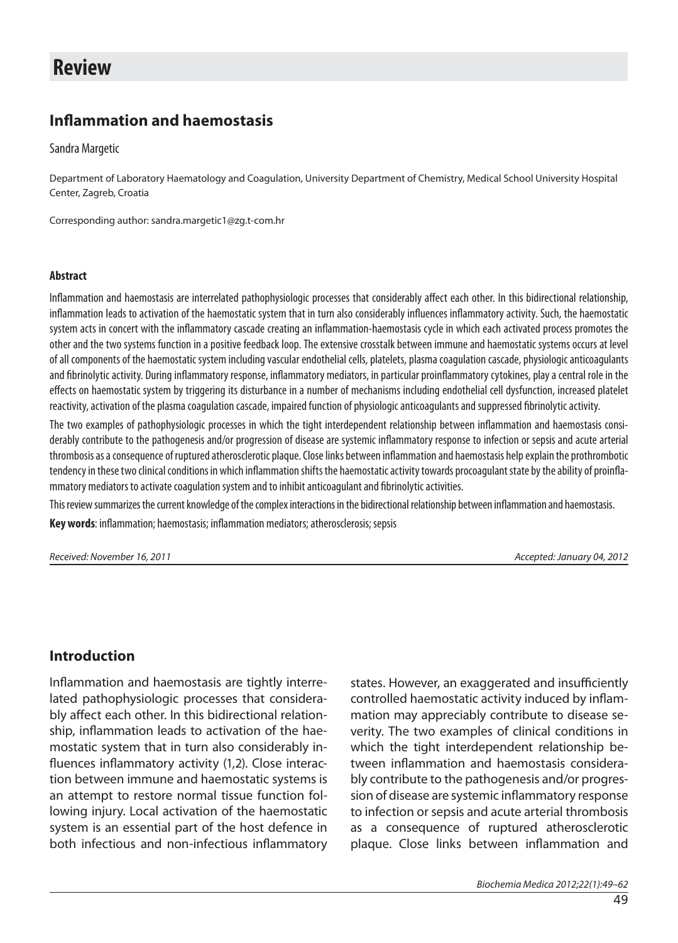# **Review**

## **Inflammation and haemostasis**

Sandra Margetic

Department of Laboratory Haematology and Coagulation, University Department of Chemistry, Medical School University Hospital Center, Zagreb, Croatia

Corresponding author: sandra.margetic1@zg.t-com.hr

#### **Abstract**

Inflammation and haemostasis are interrelated pathophysiologic processes that considerably affect each other. In this bidirectional relationship, inflammation leads to activation of the haemostatic system that in turn also considerably influences inflammatory activity. Such, the haemostatic system acts in concert with the inflammatory cascade creating an inflammation-haemostasis cycle in which each activated process promotes the other and the two systems function in a positive feedback loop. The extensive crosstalk between immune and haemostatic systems occurs at level of all components of the haemostatic system including vascular endothelial cells, platelets, plasma coagulation cascade, physiologic anticoagulants and fibrinolytic activity. During inflammatory response, inflammatory mediators, in particular proinflammatory cytokines, play a central role in the effects on haemostatic system by triggering its disturbance in a number of mechanisms including endothelial cell dysfunction, increased platelet reactivity, activation of the plasma coagulation cascade, impaired function of physiologic anticoagulants and suppressed fibrinolytic activity.

The two examples of pathophysiologic processes in which the tight interdependent relationship between inflammation and haemostasis considerably contribute to the pathogenesis and/or progression of disease are systemic inflammatory response to infection or sepsis and acute arterial thrombosis as a consequence of ruptured atherosclerotic plaque. Close links between inflammation and haemostasis help explain the prothrombotic tendency in these two clinical conditions in which inflammation shifts the haemostatic activity towards procoagulant state by the ability of proinflammatory mediators to activate coagulation system and to inhibit anticoagulant and fibrinolytic activities.

This review summarizes the current knowledge of the complex interactions in the bidirectional relationship between inflammation and haemostasis.

Key words: inflammation; haemostasis; inflammation mediators; atherosclerosis; sepsis

Received: November 16, 2011 Accepted: January 04, 2012

### **Introduction**

Inflammation and haemostasis are tightly interrelated pathophysiologic processes that considerably affect each other. In this bidirectional relationship, inflammation leads to activation of the haemostatic system that in turn also considerably influences inflammatory activity (1,2). Close interaction between immune and haemostatic systems is an attempt to restore normal tissue function following injury. Local activation of the haemostatic system is an essential part of the host defence in both infectious and non-infectious inflammatory states. However, an exaggerated and insufficiently controlled haemostatic activity induced by inflammation may appreciably contribute to disease severity. The two examples of clinical conditions in which the tight interdependent relationship between inflammation and haemostasis considerably contribute to the pathogenesis and/or progression of disease are systemic inflammatory response to infection or sepsis and acute arterial thrombosis as a consequence of ruptured atherosclerotic plaque. Close links between inflammation and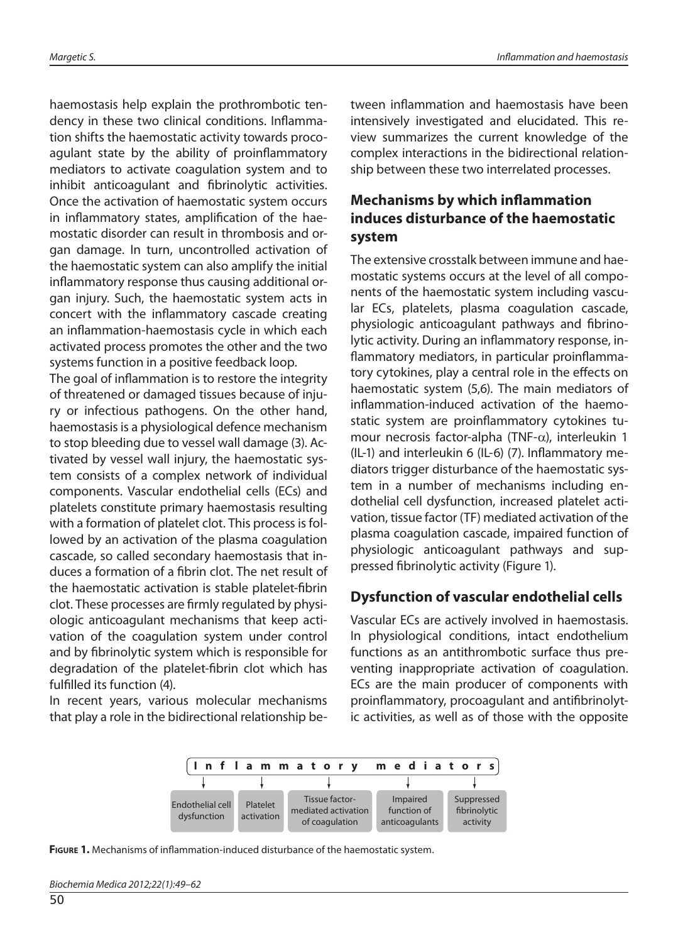haemostasis help explain the prothrombotic tendency in these two clinical conditions. Inflammation shifts the haemostatic activity towards procoagulant state by the ability of proinflammatory mediators to activate coagulation system and to inhibit anticoagulant and fibrinolytic activities. Once the activation of haemostatic system occurs in inflammatory states, amplification of the haemostatic disorder can result in thrombosis and organ damage. In turn, uncontrolled activation of the haemostatic system can also amplify the initial inflammatory response thus causing additional organ injury. Such, the haemostatic system acts in concert with the inflammatory cascade creating an inflammation-haemostasis cycle in which each activated process promotes the other and the two systems function in a positive feedback loop.

The goal of inflammation is to restore the integrity of threatened or damaged tissues because of injury or infectious pathogens. On the other hand, haemostasis is a physiological defence mechanism to stop bleeding due to vessel wall damage (3). Activated by vessel wall injury, the haemostatic system consists of a complex network of individual components. Vascular endothelial cells (ECs) and platelets constitute primary haemostasis resulting with a formation of platelet clot. This process is followed by an activation of the plasma coagulation cascade, so called secondary haemostasis that induces a formation of a fibrin clot. The net result of the haemostatic activation is stable platelet-fibrin clot. These processes are firmly regulated by physiologic anticoagulant mechanisms that keep activation of the coagulation system under control and by fibrinolytic system which is responsible for degradation of the platelet-fibrin clot which has fulfilled its function (4).

In recent years, various molecular mechanisms that play a role in the bidirectional relationship between inflammation and haemostasis have been intensively investigated and elucidated. This review summarizes the current knowledge of the complex interactions in the bidirectional relationship between these two interrelated processes.

### **Mechanisms by which inflammation induces disturbance of the haemostatic system**

The extensive crosstalk between immune and haemostatic systems occurs at the level of all components of the haemostatic system including vascular ECs, platelets, plasma coagulation cascade, physiologic anticoagulant pathways and fibrinolytic activity. During an inflammatory response, inflammatory mediators, in particular proinflammatory cytokines, play a central role in the effects on haemostatic system (5,6). The main mediators of inflammation-induced activation of the haemostatic system are proinflammatory cytokines tumour necrosis factor-alpha (TNF-α), interleukin 1 (IL-1) and interleukin 6 (IL-6)  $(7)$ . Inflammatory mediators trigger disturbance of the haemostatic system in a number of mechanisms including endothelial cell dysfunction, increased platelet activation, tissue factor (TF) mediated activation of the plasma coagulation cascade, impaired function of physiologic anticoagulant pathways and suppressed fibrinolytic activity (Figure 1).

### **Dysfunction of vascular endothelial cells**

Vascular ECs are actively involved in haemostasis. In physiological conditions, intact endothelium functions as an antithrombotic surface thus preventing inappropriate activation of coagulation. ECs are the main producer of components with proinflammatory, procoagulant and antifibrinolytic activities, as well as of those with the opposite



**FIGURE 1.** Mechanisms of inflammation-induced disturbance of the haemostatic system.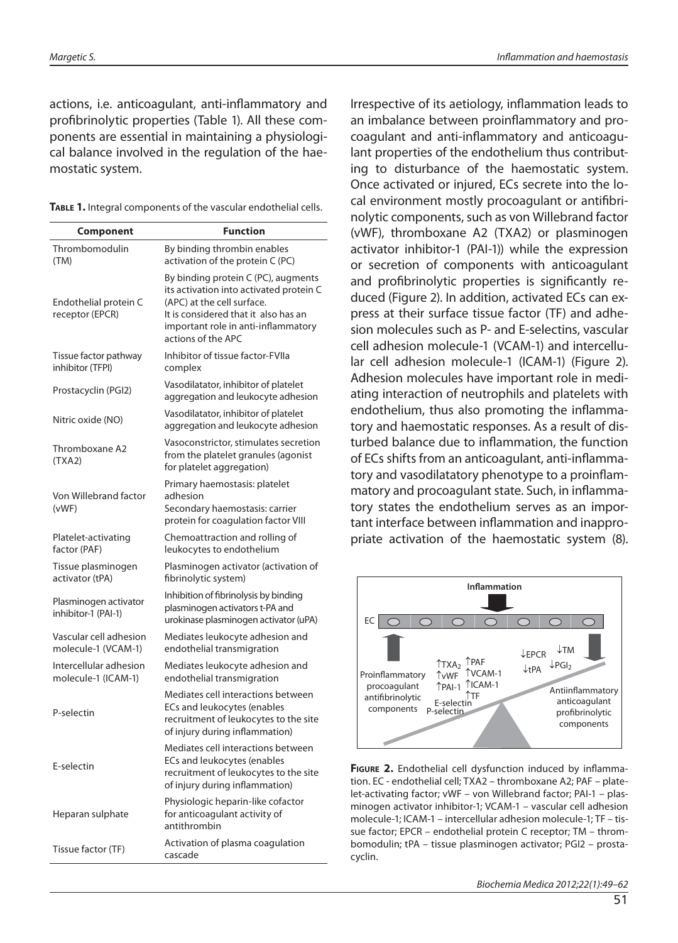actions, i.e. anticoagulant, anti-inflammatory and profibrinolytic properties (Table 1). All these components are essential in maintaining a physiological balance involved in the regulation of the haemostatic system.

|  | TABLE 1. Integral components of the vascular endothelial cells. |
|--|-----------------------------------------------------------------|
|--|-----------------------------------------------------------------|

| Component                                     | <b>Function</b>                                                                                                                                                                                                   |
|-----------------------------------------------|-------------------------------------------------------------------------------------------------------------------------------------------------------------------------------------------------------------------|
| Thrombomodulin<br>(TM)                        | By binding thrombin enables<br>activation of the protein C (PC)                                                                                                                                                   |
| Endothelial protein C<br>receptor (EPCR)      | By binding protein C (PC), augments<br>its activation into activated protein C<br>(APC) at the cell surface.<br>It is considered that it also has an<br>important role in anti-inflammatory<br>actions of the APC |
| Tissue factor pathway<br>inhibitor (TFPI)     | Inhibitor of tissue factor-FVIIa<br>complex                                                                                                                                                                       |
| Prostacyclin (PGI2)                           | Vasodilatator, inhibitor of platelet<br>aggregation and leukocyte adhesion                                                                                                                                        |
| Nitric oxide (NO)                             | Vasodilatator, inhibitor of platelet<br>aggregation and leukocyte adhesion                                                                                                                                        |
| Thromboxane A2<br>(TXA2)                      | Vasoconstrictor, stimulates secretion<br>from the platelet granules (agonist<br>for platelet aggregation)                                                                                                         |
| Von Willebrand factor<br>(vWF)                | Primary haemostasis: platelet<br>adhesion<br>Secondary haemostasis: carrier<br>protein for coagulation factor VIII                                                                                                |
| Platelet-activating<br>factor (PAF)           | Chemoattraction and rolling of<br>leukocytes to endothelium                                                                                                                                                       |
| Tissue plasminogen<br>activator (tPA)         | Plasminogen activator (activation of<br>fibrinolytic system)                                                                                                                                                      |
| Plasminogen activator<br>inhibitor-1 (PAI-1)  | Inhibition of fibrinolysis by binding<br>plasminogen activators t-PA and<br>urokinase plasminogen activator (uPA)                                                                                                 |
| Vascular cell adhesion<br>molecule-1 (VCAM-1) | Mediates leukocyte adhesion and<br>endothelial transmigration                                                                                                                                                     |
| Intercellular adhesion<br>molecule-1 (ICAM-1) | Mediates leukocyte adhesion and<br>endothelial transmigration                                                                                                                                                     |
| P-selectin                                    | Mediates cell interactions between<br>ECs and leukocytes (enables<br>recruitment of leukocytes to the site<br>of injury during inflammation)                                                                      |
| E-selectin                                    | Mediates cell interactions between<br>ECs and leukocytes (enables<br>recruitment of leukocytes to the site<br>of injury during inflammation)                                                                      |
| Heparan sulphate                              | Physiologic heparin-like cofactor<br>for anticoagulant activity of<br>antithrombin                                                                                                                                |
| Tissue factor (TF)                            | Activation of plasma coagulation<br>cascade                                                                                                                                                                       |

Irrespective of its aetiology, inflammation leads to an imbalance between proinflammatory and procoagulant and anti-inflammatory and anticoagulant properties of the endothelium thus contributing to disturbance of the haemostatic system. Once activated or injured, ECs secrete into the local environment mostly procoagulant or antifibrinolytic components, such as von Willebrand factor (vWF), thromboxane A2 (TXA2) or plasminogen activator inhibitor-1 (PAI-1)) while the expression or secretion of components with anticoagulant and profibrinolytic properties is significantly reduced (Figure 2). In addition, activated ECs can express at their surface tissue factor (TF) and adhesion molecules such as P- and E-selectins, vascular cell adhesion molecule-1 (VCAM-1) and intercellular cell adhesion molecule-1 (ICAM-1) (Figure 2). Adhesion molecules have important role in mediating interaction of neutrophils and platelets with endothelium, thus also promoting the inflammatory and haemostatic responses. As a result of disturbed balance due to inflammation, the function of ECs shifts from an anticoagulant, anti-inflammatory and vasodilatatory phenotype to a proinflammatory and procoagulant state. Such, in inflammatory states the endothelium serves as an important interface between inflammation and inappropriate activation of the haemostatic system (8).



**FIGURE 2.** Endothelial cell dysfunction induced by inflammation. EC - endothelial cell; TXA2 – thromboxane A2; PAF – platelet-activating factor; vWF – von Willebrand factor; PAI-1 – plasminogen activator inhibitor-1; VCAM-1 – vascular cell adhesion molecule-1; ICAM-1 – intercellular adhesion molecule-1; TF – tissue factor; EPCR – endothelial protein C receptor; TM – thrombomodulin; tPA – tissue plasminogen activator; PGI2 – prostacyclin.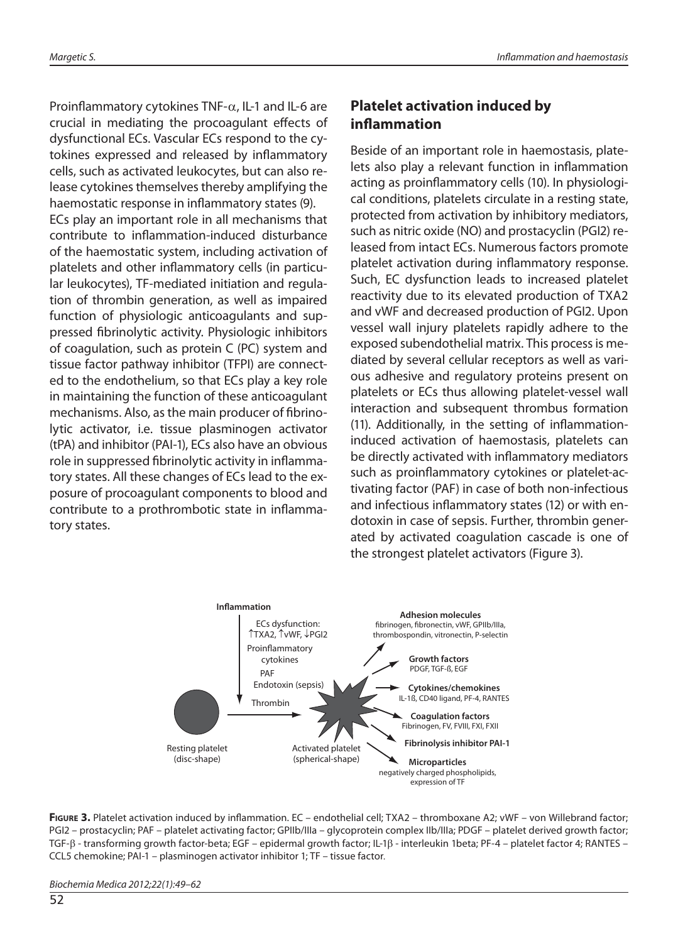Proinflammatory cytokines TNF- $\alpha$ , IL-1 and IL-6 are crucial in mediating the procoagulant effects of dysfunctional ECs. Vascular ECs respond to the cytokines expressed and released by inflammatory cells, such as activated leukocytes, but can also release cytokines themselves thereby amplifying the haemostatic response in inflammatory states (9). ECs play an important role in all mechanisms that contribute to inflammation-induced disturbance of the haemostatic system, including activation of platelets and other inflammatory cells (in particular leukocytes), TF-mediated initiation and regulation of thrombin generation, as well as impaired function of physiologic anticoagulants and suppressed fibrinolytic activity. Physiologic inhibitors of coagulation, such as protein C (PC) system and tissue factor pathway inhibitor (TFPI) are connected to the endothelium, so that ECs play a key role in maintaining the function of these anticoagulant mechanisms. Also, as the main producer of fibrinolytic activator, i.e. tissue plasminogen activator (tPA) and inhibitor (PAI-1), ECs also have an obvious role in suppressed fibrinolytic activity in inflammatory states. All these changes of ECs lead to the exposure of procoagulant components to blood and contribute to a prothrombotic state in inflammatory states.

### **Platelet activation induced by infl ammation**

Beside of an important role in haemostasis, platelets also play a relevant function in inflammation acting as proinflammatory cells (10). In physiological conditions, platelets circulate in a resting state, protected from activation by inhibitory mediators, such as nitric oxide (NO) and prostacyclin (PGI2) released from intact ECs. Numerous factors promote platelet activation during inflammatory response. Such, EC dysfunction leads to increased platelet reactivity due to its elevated production of TXA2 and vWF and decreased production of PGI2. Upon vessel wall injury platelets rapidly adhere to the exposed subendothelial matrix. This process is mediated by several cellular receptors as well as various adhesive and regulatory proteins present on platelets or ECs thus allowing platelet-vessel wall interaction and subsequent thrombus formation (11). Additionally, in the setting of inflammationinduced activation of haemostasis, platelets can be directly activated with inflammatory mediators such as proinflammatory cytokines or platelet-activating factor (PAF) in case of both non-infectious and infectious inflammatory states (12) or with endotoxin in case of sepsis. Further, thrombin generated by activated coagulation cascade is one of the strongest platelet activators (Figure 3).



FIGURE 3. Platelet activation induced by inflammation. EC – endothelial cell; TXA2 – thromboxane A2; vWF – von Willebrand factor; PGI2 – prostacyclin; PAF – platelet activating factor; GPIIb/IIIa – glycoprotein complex IIb/IIIa; PDGF – platelet derived growth factor; TGF-β - transforming growth factor-beta; EGF – epidermal growth factor; IL-1β - interleukin 1beta; PF-4 – platelet factor 4; RANTES – CCL5 chemokine; PAI-1 – plasminogen activator inhibitor 1; TF – tissue factor.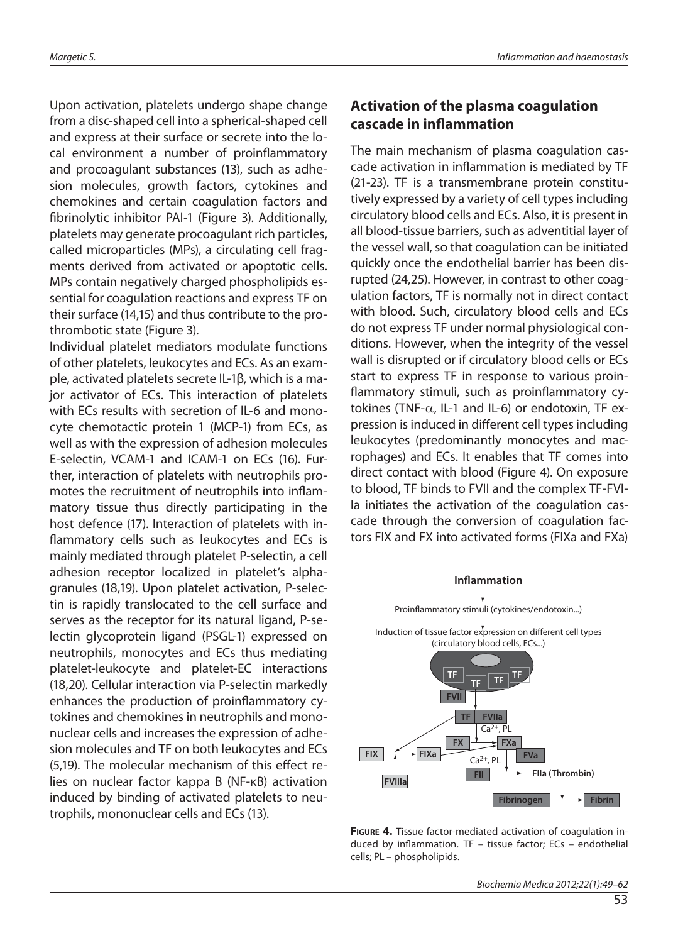Upon activation, platelets undergo shape change from a disc-shaped cell into a spherical-shaped cell and express at their surface or secrete into the local environment a number of proinflammatory and procoagulant substances (13), such as adhesion molecules, growth factors, cytokines and chemokines and certain coagulation factors and fibrinolytic inhibitor PAI-1 (Figure 3). Additionally, platelets may generate procoagulant rich particles, called microparticles (MPs), a circulating cell fragments derived from activated or apoptotic cells. MPs contain negatively charged phospholipids essential for coagulation reactions and express TF on their surface (14,15) and thus contribute to the prothrombotic state (Figure 3).

Individual platelet mediators modulate functions of other platelets, leukocytes and ECs. As an example, activated platelets secrete IL-1β, which is a major activator of ECs. This interaction of platelets with ECs results with secretion of IL-6 and monocyte chemotactic protein 1 (MCP-1) from ECs, as well as with the expression of adhesion molecules E-selectin, VCAM-1 and ICAM-1 on ECs (16). Further, interaction of platelets with neutrophils promotes the recruitment of neutrophils into inflammatory tissue thus directly participating in the host defence (17). Interaction of platelets with inflammatory cells such as leukocytes and ECs is mainly mediated through platelet P-selectin, a cell adhesion receptor localized in platelet's alphagranules (18,19). Upon platelet activation, P-selectin is rapidly translocated to the cell surface and serves as the receptor for its natural ligand, P-selectin glycoprotein ligand (PSGL-1) expressed on neutrophils, monocytes and ECs thus mediating platelet-leukocyte and platelet-EC interactions (18,20). Cellular interaction via P-selectin markedly enhances the production of proinflammatory cytokines and chemokines in neutrophils and mononuclear cells and increases the expression of adhesion molecules and TF on both leukocytes and ECs (5,19). The molecular mechanism of this effect relies on nuclear factor kappa B (NF-κB) activation induced by binding of activated platelets to neutrophils, mononuclear cells and ECs (13).

### **Activation of the plasma coagulation cascade in inflammation**

The main mechanism of plasma coagulation cascade activation in inflammation is mediated by TF (21-23). TF is a transmembrane protein constitutively expressed by a variety of cell types including circulatory blood cells and ECs. Also, it is present in all blood-tissue barriers, such as adventitial layer of the vessel wall, so that coagulation can be initiated quickly once the endothelial barrier has been disrupted (24,25). However, in contrast to other coagulation factors, TF is normally not in direct contact with blood. Such, circulatory blood cells and ECs do not express TF under normal physiological conditions. However, when the integrity of the vessel wall is disrupted or if circulatory blood cells or ECs start to express TF in response to various proinflammatory stimuli, such as proinflammatory cytokines (TNF- $\alpha$ , IL-1 and IL-6) or endotoxin, TF expression is induced in different cell types including leukocytes (predominantly monocytes and macrophages) and ECs. It enables that TF comes into direct contact with blood (Figure 4). On exposure to blood, TF binds to FVII and the complex TF-FVI-Ia initiates the activation of the coagulation cascade through the conversion of coagulation factors FIX and FX into activated forms (FIXa and FXa)



**FIGURE 4.** Tissue factor-mediated activation of coagulation induced by inflammation. TF  $-$  tissue factor; ECs  $-$  endothelial cells; PL – phospholipids.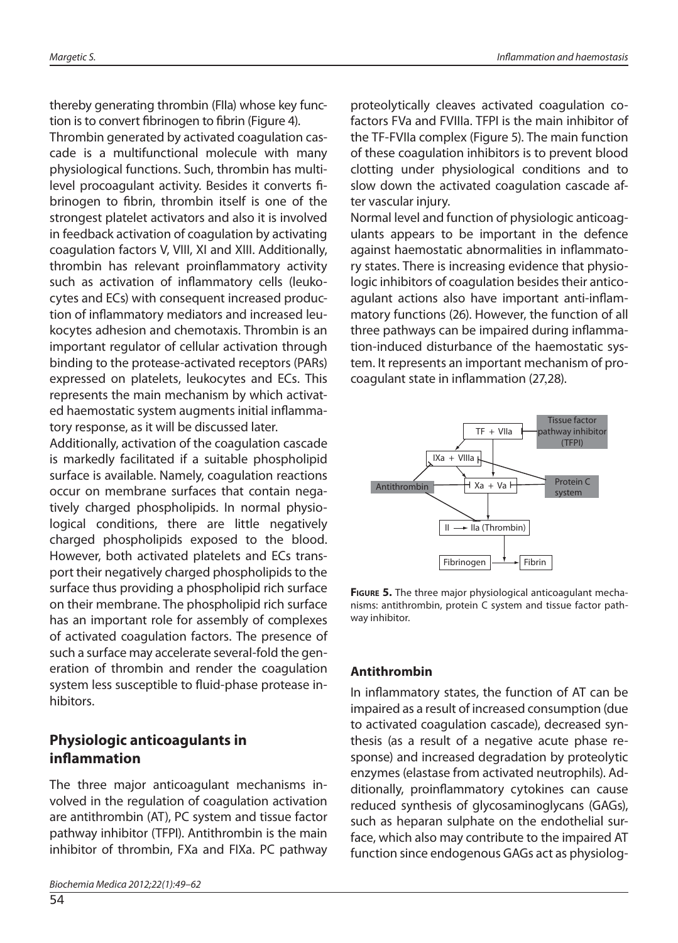thereby generating thrombin (FIIa) whose key function is to convert fibrinogen to fibrin (Figure 4).

Thrombin generated by activated coagulation cascade is a multifunctional molecule with many physiological functions. Such, thrombin has multilevel procoagulant activity. Besides it converts fibrinogen to fibrin, thrombin itself is one of the strongest platelet activators and also it is involved in feedback activation of coagulation by activating coagulation factors V, VIII, XI and XIII. Additionally, thrombin has relevant proinflammatory activity such as activation of inflammatory cells (leukocytes and ECs) with consequent increased production of inflammatory mediators and increased leukocytes adhesion and chemotaxis. Thrombin is an important regulator of cellular activation through binding to the protease-activated receptors (PARs) expressed on platelets, leukocytes and ECs. This represents the main mechanism by which activated haemostatic system augments initial inflammatory response, as it will be discussed later.

Additionally, activation of the coagulation cascade is markedly facilitated if a suitable phospholipid surface is available. Namely, coagulation reactions occur on membrane surfaces that contain negatively charged phospholipids. In normal physiological conditions, there are little negatively charged phospholipids exposed to the blood. However, both activated platelets and ECs transport their negatively charged phospholipids to the surface thus providing a phospholipid rich surface on their membrane. The phospholipid rich surface has an important role for assembly of complexes of activated coagulation factors. The presence of such a surface may accelerate several-fold the generation of thrombin and render the coagulation system less susceptible to fluid-phase protease inhibitors.

### **Physiologic anticoagulants in infl ammation**

The three major anticoagulant mechanisms involved in the regulation of coagulation activation are antithrombin (AT), PC system and tissue factor pathway inhibitor (TFPI). Antithrombin is the main inhibitor of thrombin, FXa and FIXa. PC pathway

54

proteolytically cleaves activated coagulation cofactors FVa and FVIIIa. TFPI is the main inhibitor of the TF-FVIIa complex (Figure 5). The main function of these coagulation inhibitors is to prevent blood clotting under physiological conditions and to slow down the activated coagulation cascade after vascular injury.

Normal level and function of physiologic anticoagulants appears to be important in the defence against haemostatic abnormalities in inflammatory states. There is increasing evidence that physiologic inhibitors of coagulation besides their anticoagulant actions also have important anti-inflammatory functions (26). However, the function of all three pathways can be impaired during inflammation-induced disturbance of the haemostatic system. It represents an important mechanism of procoagulant state in inflammation (27,28).



**FIGURE 5.** The three major physiological anticoagulant mechanisms: antithrombin, protein C system and tissue factor pathway inhibitor.

#### **Antithrombin**

In inflammatory states, the function of AT can be impaired as a result of increased consumption (due to activated coagulation cascade), decreased synthesis (as a result of a negative acute phase response) and increased degradation by proteolytic enzymes (elastase from activated neutrophils). Additionally, proinflammatory cytokines can cause reduced synthesis of glycosaminoglycans (GAGs), such as heparan sulphate on the endothelial surface, which also may contribute to the impaired AT function since endogenous GAGs act as physiolog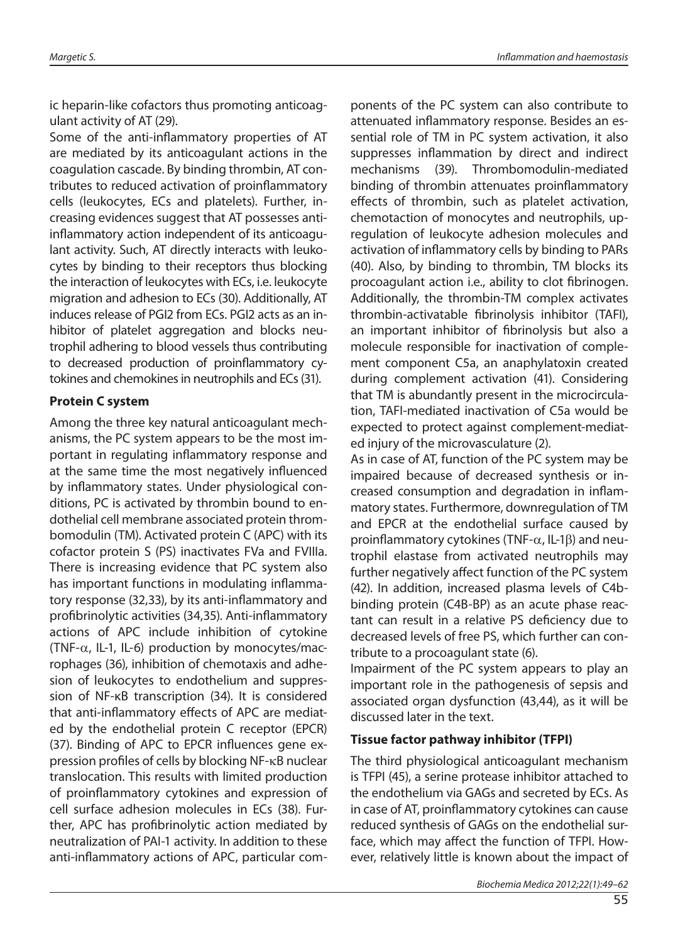ic heparin-like cofactors thus promoting anticoagulant activity of AT (29).

Some of the anti-inflammatory properties of AT are mediated by its anticoagulant actions in the coagulation cascade. By binding thrombin, AT contributes to reduced activation of proinflammatory cells (leukocytes, ECs and platelets). Further, increasing evidences suggest that AT possesses antiinflammatory action independent of its anticoagulant activity. Such, AT directly interacts with leukocytes by binding to their receptors thus blocking the interaction of leukocytes with ECs, i.e. leukocyte migration and adhesion to ECs (30). Additionally, AT induces release of PGI2 from ECs. PGI2 acts as an inhibitor of platelet aggregation and blocks neutrophil adhering to blood vessels thus contributing to decreased production of proinflammatory cytokines and chemokines in neutrophils and ECs (31).

#### **Protein C system**

Among the three key natural anticoagulant mechanisms, the PC system appears to be the most important in regulating inflammatory response and at the same time the most negatively influenced by inflammatory states. Under physiological conditions, PC is activated by thrombin bound to endothelial cell membrane associated protein thrombomodulin (TM). Activated protein C (APC) with its cofactor protein S (PS) inactivates FVa and FVIIIa. There is increasing evidence that PC system also has important functions in modulating inflammatory response (32,33), by its anti-inflammatory and profibrinolytic activities (34,35). Anti-inflammatory actions of APC include inhibition of cytokine (TNF- $\alpha$ , IL-1, IL-6) production by monocytes/macrophages (36), inhibition of chemotaxis and adhesion of leukocytes to endothelium and suppression of NF-κB transcription (34). It is considered that anti-inflammatory effects of APC are mediated by the endothelial protein C receptor (EPCR) (37). Binding of APC to EPCR influences gene expression profiles of cells by blocking NF-κB nuclear translocation. This results with limited production of proinflammatory cytokines and expression of cell surface adhesion molecules in ECs (38). Further, APC has profibrinolytic action mediated by neutralization of PAI-1 activity. In addition to these anti-inflammatory actions of APC, particular components of the PC system can also contribute to attenuated inflammatory response. Besides an essential role of TM in PC system activation, it also suppresses inflammation by direct and indirect mechanisms (39). Thrombomodulin-mediated binding of thrombin attenuates proinflammatory effects of thrombin, such as platelet activation, chemotaction of monocytes and neutrophils, upregulation of leukocyte adhesion molecules and activation of inflammatory cells by binding to PARs (40). Also, by binding to thrombin, TM blocks its procoagulant action *i.e.*, ability to clot fibrinogen. Additionally, the thrombin-TM complex activates thrombin-activatable fibrinolysis inhibitor (TAFI), an important inhibitor of fibrinolysis but also a molecule responsible for inactivation of complement component C5a, an anaphylatoxin created during complement activation (41). Considering that TM is abundantly present in the microcirculation, TAFI-mediated inactivation of C5a would be expected to protect against complement-mediated injury of the microvasculature (2).

As in case of AT, function of the PC system may be impaired because of decreased synthesis or increased consumption and degradation in inflammatory states. Furthermore, downregulation of TM and EPCR at the endothelial surface caused by proinflammatory cytokines (TNF- $\alpha$ , IL-1 $\beta$ ) and neutrophil elastase from activated neutrophils may further negatively affect function of the PC system (42). In addition, increased plasma levels of C4bbinding protein (C4B-BP) as an acute phase reactant can result in a relative PS deficiency due to decreased levels of free PS, which further can contribute to a procoagulant state (6).

Impairment of the PC system appears to play an important role in the pathogenesis of sepsis and associated organ dysfunction (43,44), as it will be discussed later in the text.

#### **Tissue factor pathway inhibitor (TFPI)**

The third physiological anticoagulant mechanism is TFPI (45), a serine protease inhibitor attached to the endothelium via GAGs and secreted by ECs. As in case of AT, proinflammatory cytokines can cause reduced synthesis of GAGs on the endothelial surface, which may affect the function of TFPI. However, relatively little is known about the impact of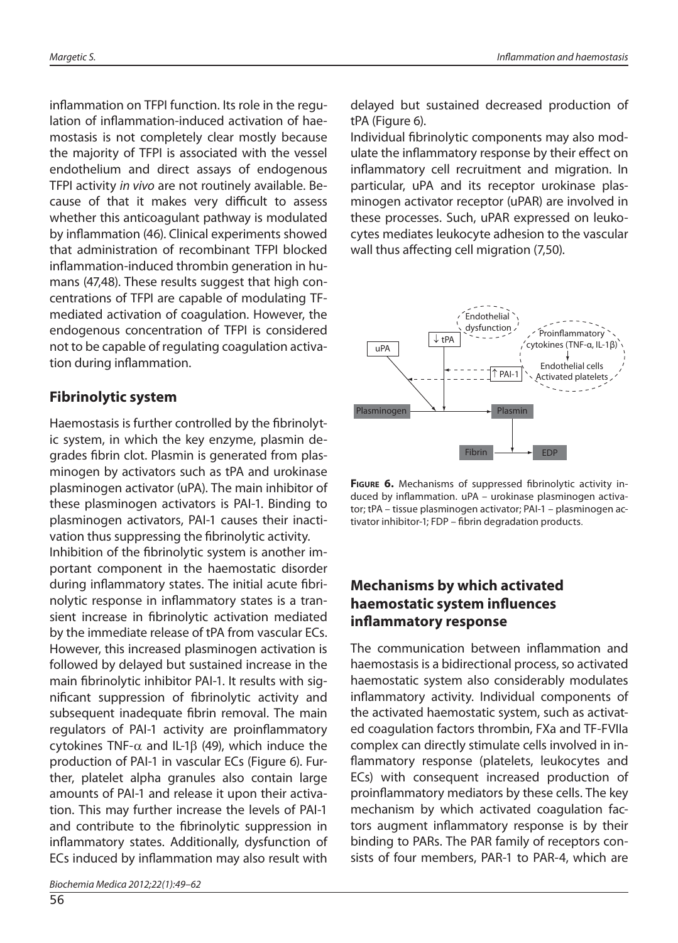inflammation on TFPI function. Its role in the regulation of inflammation-induced activation of haemostasis is not completely clear mostly because the majority of TFPI is associated with the vessel endothelium and direct assays of endogenous TFPI activity in vivo are not routinely available. Because of that it makes very difficult to assess whether this anticoagulant pathway is modulated by inflammation (46). Clinical experiments showed that administration of recombinant TFPI blocked inflammation-induced thrombin generation in humans (47,48). These results suggest that high concentrations of TFPI are capable of modulating TFmediated activation of coagulation. However, the endogenous concentration of TFPI is considered not to be capable of regulating coagulation activation during inflammation.

### **Fibrinolytic system**

Haemostasis is further controlled by the fibrinolytic system, in which the key enzyme, plasmin degrades fibrin clot. Plasmin is generated from plasminogen by activators such as tPA and urokinase plasminogen activator (uPA). The main inhibitor of these plasminogen activators is PAI-1. Binding to plasminogen activators, PAI-1 causes their inactivation thus suppressing the fibrinolytic activity. Inhibition of the fibrinolytic system is another important component in the haemostatic disorder during inflammatory states. The initial acute fibrinolytic response in inflammatory states is a transient increase in fibrinolytic activation mediated by the immediate release of tPA from vascular ECs. However, this increased plasminogen activation is followed by delayed but sustained increase in the main fibrinolytic inhibitor PAI-1. It results with significant suppression of fibrinolytic activity and subsequent inadequate fibrin removal. The main regulators of PAI-1 activity are proinflammatory cytokines TNF-α and IL-1β (49), which induce the production of PAI-1 in vascular ECs (Figure 6). Further, platelet alpha granules also contain large amounts of PAI-1 and release it upon their activation. This may further increase the levels of PAI-1 and contribute to the fibrinolytic suppression in inflammatory states. Additionally, dysfunction of ECs induced by inflammation may also result with

Biochemia Medica 2012;22(1):49–62

delayed but sustained decreased production of tPA (Figure 6).

Individual fibrinolytic components may also modulate the inflammatory response by their effect on inflammatory cell recruitment and migration. In particular, uPA and its receptor urokinase plasminogen activator receptor (uPAR) are involved in these processes. Such, uPAR expressed on leukocytes mediates leukocyte adhesion to the vascular wall thus affecting cell migration (7,50).



**FIGURE 6.** Mechanisms of suppressed fibrinolytic activity induced by inflammation. uPA - urokinase plasminogen activator; tPA – tissue plasminogen activator; PAI-1 – plasminogen activator inhibitor-1; FDP – fibrin degradation products.

### **Mechanisms by which activated haemostatic system infl uences infl ammatory response**

The communication between inflammation and haemostasis is a bidirectional process, so activated haemostatic system also considerably modulates inflammatory activity. Individual components of the activated haemostatic system, such as activated coagulation factors thrombin, FXa and TF-FVIIa complex can directly stimulate cells involved in inflammatory response (platelets, leukocytes and ECs) with consequent increased production of proinflammatory mediators by these cells. The key mechanism by which activated coagulation factors augment inflammatory response is by their binding to PARs. The PAR family of receptors consists of four members, PAR-1 to PAR-4, which are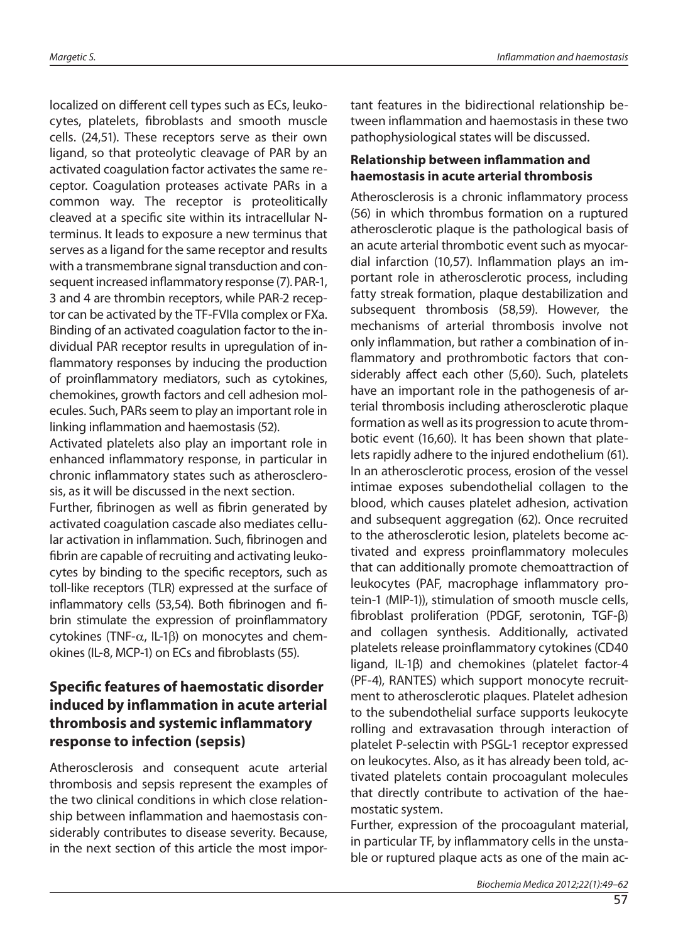localized on different cell types such as ECs, leukocytes, platelets, fibroblasts and smooth muscle cells. (24,51). These receptors serve as their own ligand, so that proteolytic cleavage of PAR by an activated coagulation factor activates the same receptor. Coagulation proteases activate PARs in a common way. The receptor is proteolitically cleaved at a specific site within its intracellular Nterminus. It leads to exposure a new terminus that serves as a ligand for the same receptor and results with a transmembrane signal transduction and consequent increased inflammatory response (7). PAR-1, 3 and 4 are thrombin receptors, while PAR-2 receptor can be activated by the TF-FVIIa complex or FXa. Binding of an activated coagulation factor to the individual PAR receptor results in upregulation of inflammatory responses by inducing the production of proinflammatory mediators, such as cytokines, chemokines, growth factors and cell adhesion molecules. Such, PARs seem to play an important role in linking inflammation and haemostasis (52).

Activated platelets also play an important role in enhanced inflammatory response, in particular in chronic inflammatory states such as atherosclerosis, as it will be discussed in the next section.

Further, fibrinogen as well as fibrin generated by activated coagulation cascade also mediates cellular activation in inflammation. Such, fibrinogen and fibrin are capable of recruiting and activating leukocytes by binding to the specific receptors, such as toll-like receptors (TLR) expressed at the surface of inflammatory cells (53,54). Both fibrinogen and fibrin stimulate the expression of proinflammatory cytokines (TNF-α, IL-1β) on monocytes and chemokines (IL-8, MCP-1) on ECs and fibroblasts (55).

### **Specific features of haemostatic disorder induced by inflammation in acute arterial thrombosis and systemic infl ammatory response to infection (sepsis)**

Atherosclerosis and consequent acute arterial thrombosis and sepsis represent the examples of the two clinical conditions in which close relationship between inflammation and haemostasis considerably contributes to disease severity. Because, in the next section of this article the most important features in the bidirectional relationship between inflammation and haemostasis in these two pathophysiological states will be discussed.

#### **Relationship between inflammation and haemostasis in acute arterial thrombosis**

Atherosclerosis is a chronic inflammatory process (56) in which thrombus formation on a ruptured atherosclerotic plaque is the pathological basis of an acute arterial thrombotic event such as myocardial infarction (10,57). Inflammation plays an important role in atherosclerotic process, including fatty streak formation, plaque destabilization and subsequent thrombosis (58,59). However, the mechanisms of arterial thrombosis involve not only inflammation, but rather a combination of inflammatory and prothrombotic factors that considerably affect each other (5,60). Such, platelets have an important role in the pathogenesis of arterial thrombosis including atherosclerotic plaque formation as well as its progression to acute thrombotic event (16,60). It has been shown that platelets rapidly adhere to the injured endothelium (61). In an atherosclerotic process, erosion of the vessel intimae exposes subendothelial collagen to the blood, which causes platelet adhesion, activation and subsequent aggregation (62). Once recruited to the atherosclerotic lesion, platelets become activated and express proinflammatory molecules that can additionally promote chemoattraction of leukocytes (PAF, macrophage inflammatory protein-1 (MIP-1)), stimulation of smooth muscle cells, fi broblast proliferation (PDGF, serotonin, TGF-β) and collagen synthesis. Additionally, activated platelets release proinflammatory cytokines (CD40 ligand, IL-1β) and chemokines (platelet factor-4 (PF-4), RANTES) which support monocyte recruitment to atherosclerotic plaques. Platelet adhesion to the subendothelial surface supports leukocyte rolling and extravasation through interaction of platelet P-selectin with PSGL-1 receptor expressed on leukocytes. Also, as it has already been told, activated platelets contain procoagulant molecules that directly contribute to activation of the haemostatic system.

Further, expression of the procoagulant material, in particular TF, by inflammatory cells in the unstable or ruptured plaque acts as one of the main ac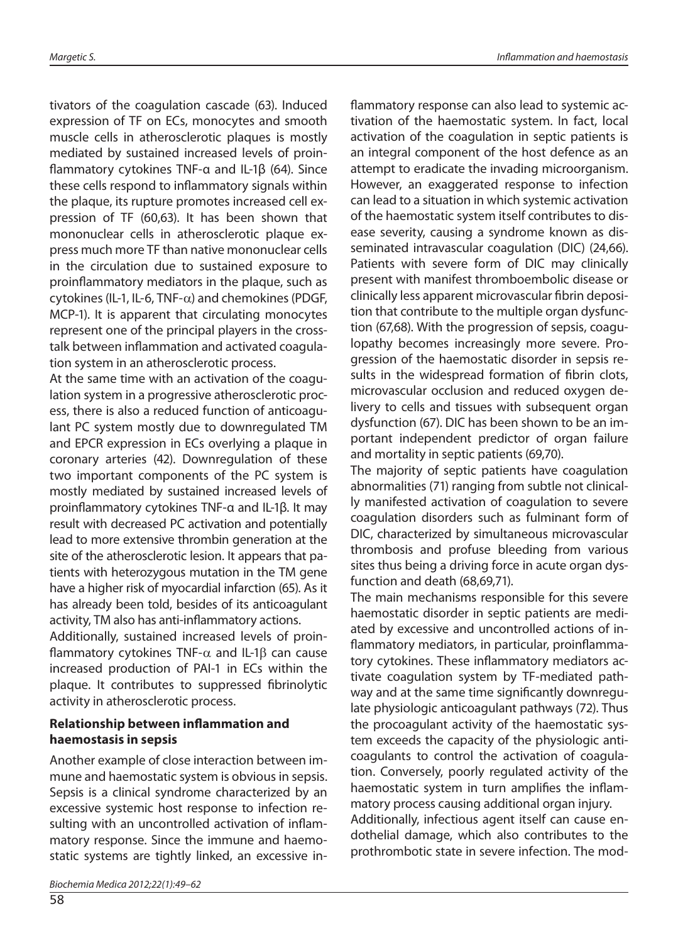tivators of the coagulation cascade (63). Induced expression of TF on ECs, monocytes and smooth muscle cells in atherosclerotic plaques is mostly mediated by sustained increased levels of proinflammatory cytokines TNF- $\alpha$  and IL-1 $\beta$  (64). Since these cells respond to inflammatory signals within the plaque, its rupture promotes increased cell expression of TF (60,63). It has been shown that mononuclear cells in atherosclerotic plaque express much more TF than native mononuclear cells in the circulation due to sustained exposure to proinflammatory mediators in the plaque, such as cytokines (IL-1, IL-6, TNF- $\alpha$ ) and chemokines (PDGF, MCP-1). It is apparent that circulating monocytes represent one of the principal players in the crosstalk between inflammation and activated coagulation system in an atherosclerotic process.

At the same time with an activation of the coagulation system in a progressive atherosclerotic process, there is also a reduced function of anticoagulant PC system mostly due to downregulated TM and EPCR expression in ECs overlying a plaque in coronary arteries (42). Downregulation of these two important components of the PC system is mostly mediated by sustained increased levels of proinflammatory cytokines TNF-α and IL-1β. It may result with decreased PC activation and potentially lead to more extensive thrombin generation at the site of the atherosclerotic lesion. It appears that patients with heterozygous mutation in the TM gene have a higher risk of myocardial infarction (65). As it has already been told, besides of its anticoagulant activity, TM also has anti-inflammatory actions.

Additionally, sustained increased levels of proinflammatory cytokines TNF- $\alpha$  and IL-1 $\beta$  can cause increased production of PAI-1 in ECs within the plaque. It contributes to suppressed fibrinolytic activity in atherosclerotic process.

#### **Relationship between inflammation and haemostasis in sepsis**

Another example of close interaction between immune and haemostatic system is obvious in sepsis. Sepsis is a clinical syndrome characterized by an excessive systemic host response to infection resulting with an uncontrolled activation of inflammatory response. Since the immune and haemostatic systems are tightly linked, an excessive in-

58

flammatory response can also lead to systemic activation of the haemostatic system. In fact, local activation of the coagulation in septic patients is an integral component of the host defence as an attempt to eradicate the invading microorganism. However, an exaggerated response to infection can lead to a situation in which systemic activation of the haemostatic system itself contributes to disease severity, causing a syndrome known as disseminated intravascular coagulation (DIC) (24,66). Patients with severe form of DIC may clinically present with manifest thromboembolic disease or clinically less apparent microvascular fibrin deposition that contribute to the multiple organ dysfunction (67,68). With the progression of sepsis, coagulopathy becomes increasingly more severe. Progression of the haemostatic disorder in sepsis results in the widespread formation of fibrin clots, microvascular occlusion and reduced oxygen delivery to cells and tissues with subsequent organ dysfunction (67). DIC has been shown to be an important independent predictor of organ failure and mortality in septic patients (69,70).

The majority of septic patients have coagulation abnormalities (71) ranging from subtle not clinically manifested activation of coagulation to severe coagulation disorders such as fulminant form of DIC, characterized by simultaneous microvascular thrombosis and profuse bleeding from various sites thus being a driving force in acute organ dysfunction and death (68,69,71).

The main mechanisms responsible for this severe haemostatic disorder in septic patients are mediated by excessive and uncontrolled actions of inflammatory mediators, in particular, proinflammatory cytokines. These inflammatory mediators activate coagulation system by TF-mediated pathway and at the same time significantly downregulate physiologic anticoagulant pathways (72). Thus the procoagulant activity of the haemostatic system exceeds the capacity of the physiologic anticoagulants to control the activation of coagulation. Conversely, poorly regulated activity of the haemostatic system in turn amplifies the inflammatory process causing additional organ injury. Additionally, infectious agent itself can cause endothelial damage, which also contributes to the prothrombotic state in severe infection. The mod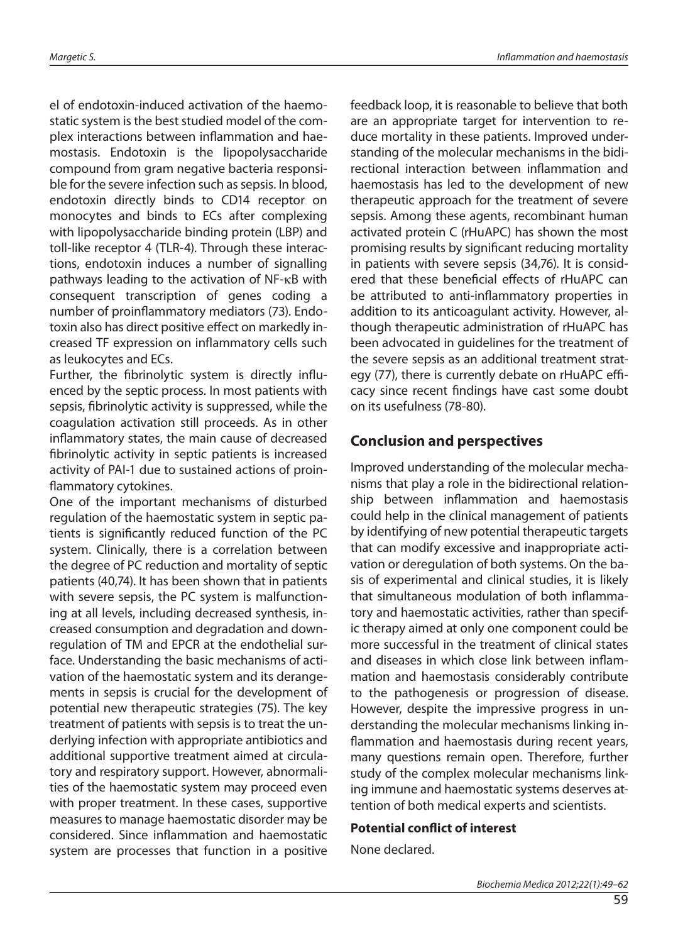el of endotoxin-induced activation of the haemostatic system is the best studied model of the complex interactions between inflammation and haemostasis. Endotoxin is the lipopolysaccharide compound from gram negative bacteria responsible for the severe infection such as sepsis. In blood, endotoxin directly binds to CD14 receptor on monocytes and binds to ECs after complexing with lipopolysaccharide binding protein (LBP) and toll-like receptor 4 (TLR-4). Through these interactions, endotoxin induces a number of signalling pathways leading to the activation of NF-κB with consequent transcription of genes coding a number of proinflammatory mediators (73). Endotoxin also has direct positive effect on markedly increased TF expression on inflammatory cells such as leukocytes and ECs.

Further, the fibrinolytic system is directly influenced by the septic process. In most patients with sepsis, fibrinolytic activity is suppressed, while the coagulation activation still proceeds. As in other inflammatory states, the main cause of decreased fibrinolytic activity in septic patients is increased activity of PAI-1 due to sustained actions of proinflammatory cytokines.

One of the important mechanisms of disturbed regulation of the haemostatic system in septic patients is significantly reduced function of the PC system. Clinically, there is a correlation between the degree of PC reduction and mortality of septic patients (40,74). It has been shown that in patients with severe sepsis, the PC system is malfunctioning at all levels, including decreased synthesis, increased consumption and degradation and downregulation of TM and EPCR at the endothelial surface. Understanding the basic mechanisms of activation of the haemostatic system and its derangements in sepsis is crucial for the development of potential new therapeutic strategies (75). The key treatment of patients with sepsis is to treat the underlying infection with appropriate antibiotics and additional supportive treatment aimed at circulatory and respiratory support. However, abnormalities of the haemostatic system may proceed even with proper treatment. In these cases, supportive measures to manage haemostatic disorder may be considered. Since inflammation and haemostatic system are processes that function in a positive

feedback loop, it is reasonable to believe that both are an appropriate target for intervention to reduce mortality in these patients. Improved understanding of the molecular mechanisms in the bidirectional interaction between inflammation and haemostasis has led to the development of new therapeutic approach for the treatment of severe sepsis. Among these agents, recombinant human activated protein C (rHuAPC) has shown the most promising results by significant reducing mortality in patients with severe sepsis (34,76). It is considered that these beneficial effects of rHuAPC can be attributed to anti-inflammatory properties in addition to its anticoagulant activity. However, although therapeutic administration of rHuAPC has been advocated in guidelines for the treatment of the severe sepsis as an additional treatment strategy (77), there is currently debate on rHuAPC efficacy since recent findings have cast some doubt on its usefulness (78-80).

#### **Conclusion and perspectives**

Improved understanding of the molecular mechanisms that play a role in the bidirectional relationship between inflammation and haemostasis could help in the clinical management of patients by identifying of new potential therapeutic targets that can modify excessive and inappropriate activation or deregulation of both systems. On the basis of experimental and clinical studies, it is likely that simultaneous modulation of both inflammatory and haemostatic activities, rather than specific therapy aimed at only one component could be more successful in the treatment of clinical states and diseases in which close link between inflammation and haemostasis considerably contribute to the pathogenesis or progression of disease. However, despite the impressive progress in understanding the molecular mechanisms linking inflammation and haemostasis during recent years, many questions remain open. Therefore, further study of the complex molecular mechanisms linking immune and haemostatic systems deserves attention of both medical experts and scientists.

#### **Potential conflict of interest**

None declared.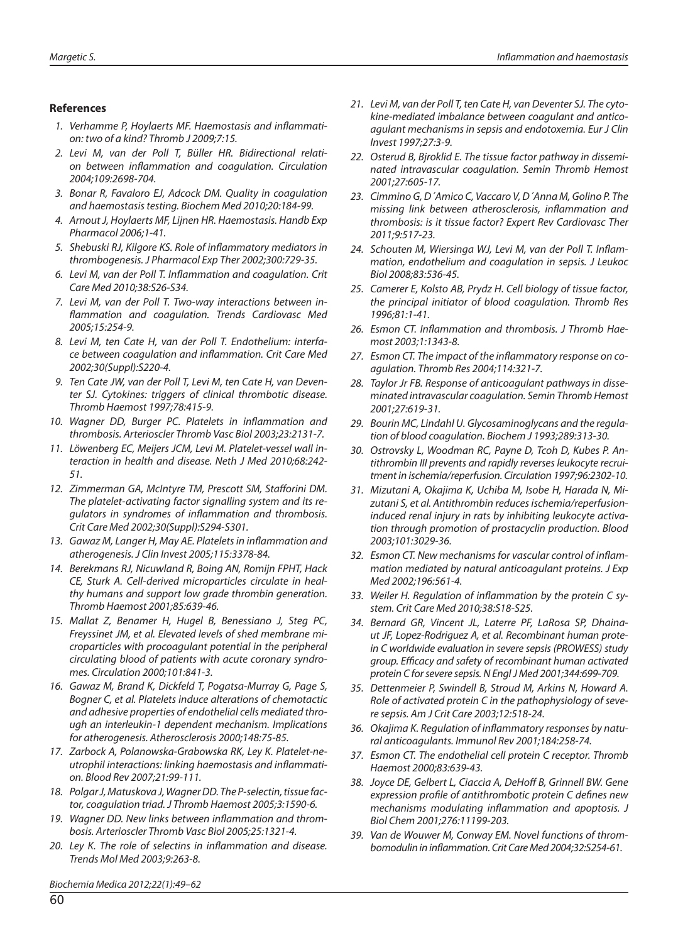#### **References**

- 1. Verhamme P, Hovlaerts MF, Haemostasis and inflammation: two of a kind? Thromb J 2009;7:15.
- 2. Levi M, van der Poll T, Büller HR. Bidirectional relation between inflammation and coagulation. Circulation 2004;109:2698-704.
- 3. Bonar R, Favaloro EJ, Adcock DM. Quality in coagulation and haemostasis testing. Biochem Med 2010;20:184-99.
- 4. Arnout J, Hoylaerts MF, Lijnen HR. Haemostasis. Handb Exp Pharmacol 2006;1-41.
- 5. Shebuski RJ, Kilgore KS. Role of inflammatory mediators in thrombogenesis. J Pharmacol Exp Ther 2002;300:729-35.
- 6. Levi M, van der Poll T. Inflammation and coagulation. Crit Care Med 2010;38:S26-S34.
- 7. Levi M, van der Poll T. Two-way interactions between inflammation and coagulation. Trends Cardiovasc Med 2005;15:254-9.
- 8. Levi M, ten Cate H, van der Poll T. Endothelium: interface between coagulation and inflammation. Crit Care Med 2002;30(Suppl):S220-4.
- 9. Ten Cate JW, van der Poll T, Levi M, ten Cate H, van Deventer SJ. Cytokines: triggers of clinical thrombotic disease. Thromb Haemost 1997;78:415-9.
- 10. Wagner DD, Burger PC. Platelets in inflammation and thrombosis. Arterioscler Thromb Vasc Biol 2003;23:2131-7.
- 11. Löwenberg EC, Meijers JCM, Levi M. Platelet-vessel wall interaction in health and disease. Neth J Med 2010;68:242- 51.
- 12. Zimmerman GA, McIntyre TM, Prescott SM, Stafforini DM. The platelet-activating factor signalling system and its regulators in syndromes of inflammation and thrombosis. Crit Care Med 2002;30(Suppl):S294-S301.
- 13. Gawaz M, Langer H, May AE. Platelets in inflammation and atherogenesis. J Clin Invest 2005;115:3378-84.
- 14. Berekmans RJ, Nicuwland R, Boing AN, Romijn FPHT, Hack CE, Sturk A. Cell-derived microparticles circulate in healthy humans and support low grade thrombin generation. Thromb Haemost 2001;85:639-46.
- 15. Mallat Z, Benamer H, Hugel B, Benessiano J, Steg PC, Freyssinet JM, et al. Elevated levels of shed membrane microparticles with procoagulant potential in the peripheral circulating blood of patients with acute coronary syndromes. Circulation 2000;101:841-3.
- 16. Gawaz M, Brand K, Dickfeld T, Pogatsa-Murray G, Page S, Bogner C, et al. Platelets induce alterations of chemotactic and adhesive properties of endothelial cells mediated through an interleukin-1 dependent mechanism. Implications for atherogenesis. Atherosclerosis 2000;148:75-85.
- 17. Zarbock A, Polanowska-Grabowska RK, Ley K. Platelet-neutrophil interactions: linking haemostasis and inflammation. Blood Rev 2007;21:99-111.
- 18. Polgar J, Matuskova J, Wagner DD. The P-selectin, tissue factor, coagulation triad. J Thromb Haemost 2005;3:1590-6.
- 19. Wagner DD. New links between inflammation and thrombosis. Arterioscler Thromb Vasc Biol 2005;25:1321-4.
- 20. Ley K. The role of selectins in inflammation and disease. Trends Mol Med 2003;9:263-8.

21. Levi M, van der Poll T, ten Cate H, van Deventer SJ. The cytokine-mediated imbalance between coagulant and anticoagulant mechanisms in sepsis and endotoxemia. Eur J Clin Invest 1997;27:3-9.

- 22. Osterud B, Bjroklid E. The tissue factor pathway in disseminated intravascular coagulation. Semin Thromb Hemost 2001;27:605-17.
- 23. Cimmino G, D΄Amico C, Vaccaro V, D΄Anna M, Golino P. The missing link between atherosclerosis, inflammation and thrombosis: is it tissue factor? Expert Rev Cardiovasc Ther 2011;9:517-23.
- 24. Schouten M, Wiersinga WJ, Levi M, van der Poll T. Inflammation, endothelium and coagulation in sepsis. J Leukoc Biol 2008;83:536-45.
- 25. Camerer E, Kolsto AB, Prydz H. Cell biology of tissue factor, the principal initiator of blood coagulation. Thromb Res 1996;81:1-41.
- 26. Esmon CT. Inflammation and thrombosis. J Thromb Haemost 2003;1:1343-8.
- 27. Esmon CT. The impact of the inflammatory response on coagulation. Thromb Res 2004;114:321-7.
- 28. Taylor Jr FB. Response of anticoagulant pathways in disseminated intravascular coagulation. Semin Thromb Hemost 2001;27:619-31.
- 29. Bourin MC, Lindahl U. Glycosaminoglycans and the regulation of blood coagulation. Biochem J 1993;289:313-30.
- 30. Ostrovsky L, Woodman RC, Payne D, Tcoh D, Kubes P. Antithrombin III prevents and rapidly reverses leukocyte recruitment in ischemia/reperfusion. Circulation 1997;96:2302-10.
- 31. Mizutani A, Okajima K, Uchiba M, Isobe H, Harada N, Mizutani S, et al. Antithrombin reduces ischemia/reperfusioninduced renal injury in rats by inhibiting leukocyte activation through promotion of prostacyclin production. Blood 2003;101:3029-36.
- 32. Esmon CT. New mechanisms for vascular control of inflammation mediated by natural anticoagulant proteins. J Exp Med 2002;196:561-4.
- 33. Weiler H. Regulation of inflammation by the protein C system. Crit Care Med 2010;38:S18-S25.
- 34. Bernard GR, Vincent JL, Laterre PF, LaRosa SP, Dhainaut JF, Lopez-Rodriguez A, et al. Recombinant human protein C worldwide evaluation in severe sepsis (PROWESS) study group. Efficacy and safety of recombinant human activated protein C for severe sepsis. N Engl J Med 2001;344:699-709.
- 35. Dettenmeier P, Swindell B, Stroud M, Arkins N, Howard A. Role of activated protein C in the pathophysiology of severe sepsis. Am J Crit Care 2003;12:518-24.
- 36. Okajima K. Regulation of inflammatory responses by natural anticoagulants. Immunol Rev 2001;184:258-74.
- 37. Esmon CT. The endothelial cell protein C receptor. Thromb Haemost 2000;83:639-43.
- 38. Joyce DE, Gelbert L, Ciaccia A, DeHoff B, Grinnell BW. Gene expression profile of antithrombotic protein C defines new mechanisms modulating inflammation and apoptosis. J Biol Chem 2001;276:11199-203.
- 39. Van de Wouwer M, Conway EM. Novel functions of thrombomodulin in inflammation. Crit Care Med 2004;32:S254-61.

Biochemia Medica 2012;22(1):49–62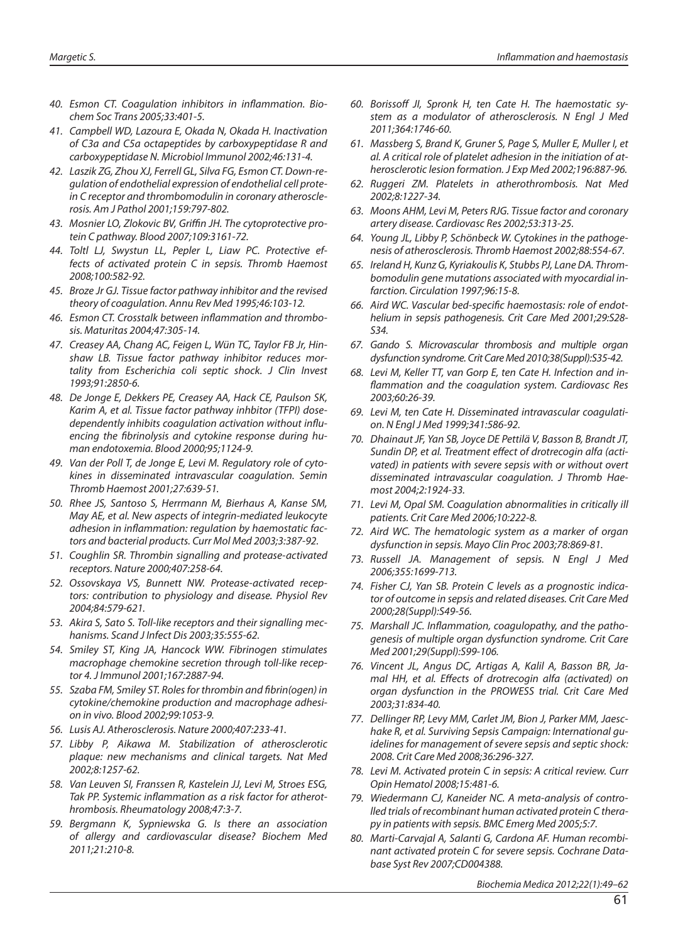- 40. Esmon CT. Coagulation inhibitors in inflammation. Biochem Soc Trans 2005;33:401-5.
- 41. Campbell WD, Lazoura E, Okada N, Okada H. Inactivation of C3a and C5a octapeptides by carboxypeptidase R and carboxypeptidase N. Microbiol Immunol 2002;46:131-4.
- 42. Laszik ZG, Zhou XJ, Ferrell GL, Silva FG, Esmon CT. Down-regulation of endothelial expression of endothelial cell protein C receptor and thrombomodulin in coronary atherosclerosis. Am J Pathol 2001;159:797-802.
- 43. Mosnier LO, Zlokovic BV, Griffin JH. The cytoprotective protein C pathway. Blood 2007;109:3161-72.
- 44. Toltl LJ, Swystun LL, Pepler L, Liaw PC. Protective effects of activated protein C in sepsis. Thromb Haemost 2008;100:582-92.
- 45. Broze Jr GJ. Tissue factor pathway inhibitor and the revised theory of coagulation. Annu Rev Med 1995;46:103-12.
- 46. Esmon CT. Crosstalk between inflammation and thrombosis. Maturitas 2004;47:305-14.
- 47. Creasey AA, Chang AC, Feigen L, Wün TC, Taylor FB Jr, Hinshaw LB. Tissue factor pathway inhibitor reduces mortality from Escherichia coli septic shock. J Clin Invest 1993;91:2850-6.
- 48. De Jonge E, Dekkers PE, Creasey AA, Hack CE, Paulson SK, Karim A, et al. Tissue factor pathway inhbitor (TFPI) dosedependently inhibits coagulation activation without influencing the fibrinolysis and cytokine response during human endotoxemia. Blood 2000;95;1124-9.
- 49. Van der Poll T, de Jonge E, Levi M. Regulatory role of cytokines in disseminated intravascular coagulation. Semin Thromb Haemost 2001;27:639-51.
- 50. Rhee JS, Santoso S, Herrmann M, Bierhaus A, Kanse SM, May AE, et al. New aspects of integrin-mediated leukocyte adhesion in inflammation: regulation by haemostatic factors and bacterial products. Curr Mol Med 2003;3:387-92.
- 51. Coughlin SR. Thrombin signalling and protease-activated receptors. Nature 2000;407:258-64.
- 52. Ossovskaya VS, Bunnett NW. Protease-activated receptors: contribution to physiology and disease. Physiol Rev 2004;84:579-621.
- 53. Akira S, Sato S. Toll-like receptors and their signalling mechanisms. Scand J Infect Dis 2003;35:555-62.
- 54. Smiley ST, King JA, Hancock WW. Fibrinogen stimulates macrophage chemokine secretion through toll-like receptor 4. J Immunol 2001;167:2887-94.
- 55. Szaba FM, Smiley ST. Roles for thrombin and fibrin(ogen) in cytokine/chemokine production and macrophage adhesion in vivo. Blood 2002;99:1053-9.
- 56. Lusis AJ. Atherosclerosis. Nature 2000;407:233-41.
- 57. Libby P, Aikawa M. Stabilization of atherosclerotic plaque: new mechanisms and clinical targets. Nat Med 2002;8:1257-62.
- 58. Van Leuven SI, Franssen R, Kastelein JJ, Levi M, Stroes ESG, Tak PP. Systemic inflammation as a risk factor for atherothrombosis. Rheumatology 2008;47:3-7.
- 59. Bergmann K, Sypniewska G. Is there an association of allergy and cardiovascular disease? Biochem Med 2011;21:210-8.
- 60. Borissoff JI, Spronk H, ten Cate H. The haemostatic system as a modulator of atherosclerosis. N Engl J Med 2011;364:1746-60.
- 61. Massberg S, Brand K, Gruner S, Page S, Muller E, Muller I, et al. A critical role of platelet adhesion in the initiation of atherosclerotic lesion formation. J Exp Med 2002;196:887-96.
- 62. Ruggeri ZM. Platelets in atherothrombosis. Nat Med 2002;8:1227-34.
- 63. Moons AHM, Levi M, Peters RJG. Tissue factor and coronary artery disease. Cardiovasc Res 2002;53:313-25.
- 64. Young JL, Libby P, Schönbeck W. Cytokines in the pathogenesis of atherosclerosis. Thromb Haemost 2002;88:554-67.
- 65. Ireland H, Kunz G, Kyriakoulis K, Stubbs PJ, Lane DA. Thrombomodulin gene mutations associated with myocardial infarction. Circulation 1997;96:15-8.
- 66. Aird WC. Vascular bed-specific haemostasis: role of endothelium in sepsis pathogenesis. Crit Care Med 2001;29:S28- S34.
- 67. Gando S. Microvascular thrombosis and multiple organ dysfunction syndrome. Crit Care Med 2010;38(Suppl):S35-42.
- 68. Levi M, Keller TT, van Gorp E, ten Cate H. Infection and inflammation and the coagulation system. Cardiovasc Res 2003;60:26-39.
- 69. Levi M, ten Cate H. Disseminated intravascular coagulation. N Engl J Med 1999;341:586-92.
- 70. Dhainaut JF, Yan SB, Joyce DE Pettilä V, Basson B, Brandt JT, Sundin DP, et al. Treatment effect of drotrecogin alfa (activated) in patients with severe sepsis with or without overt disseminated intravascular coagulation. J Thromb Haemost 2004;2:1924-33.
- 71. Levi M, Opal SM. Coagulation abnormalities in critically ill patients. Crit Care Med 2006;10:222-8.
- 72. Aird WC. The hematologic system as a marker of organ dysfunction in sepsis. Mayo Clin Proc 2003;78:869-81.
- 73. Russell JA. Management of sepsis. N Engl J Med 2006;355:1699-713.
- 74. Fisher CJ, Yan SB. Protein C levels as a prognostic indicator of outcome in sepsis and related diseases. Crit Care Med 2000;28(Suppl):S49-56.
- 75. Marshall JC. Inflammation, coagulopathy, and the pathogenesis of multiple organ dysfunction syndrome. Crit Care Med 2001;29(Suppl):S99-106.
- 76. Vincent JL, Angus DC, Artigas A, Kalil A, Basson BR, Jamal HH, et al. Effects of drotrecogin alfa (activated) on organ dysfunction in the PROWESS trial. Crit Care Med 2003;31:834-40.
- 77. Dellinger RP, Levy MM, Carlet JM, Bion J, Parker MM, Jaeschake R, et al. Surviving Sepsis Campaign: International guidelines for management of severe sepsis and septic shock: 2008. Crit Care Med 2008;36:296-327.
- 78. Levi M. Activated protein C in sepsis: A critical review. Curr Opin Hematol 2008;15:481-6.
- 79. Wiedermann CJ, Kaneider NC. A meta-analysis of controlled trials of recombinant human activated protein C therapy in patients with sepsis. BMC Emerg Med 2005;5:7.
- 80. Marti-Carvajal A, Salanti G, Cardona AF. Human recombinant activated protein C for severe sepsis. Cochrane Database Syst Rev 2007;CD004388.

Biochemia Medica 2012;22(1):49–62